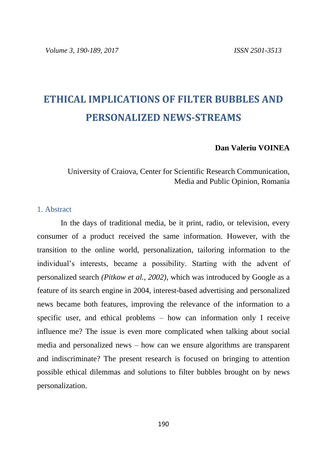# **ETHICAL IMPLICATIONS OF FILTER BUBBLES AND PERSONALIZED NEWS-STREAMS**

#### **Dan Valeriu VOINEA**

# University of Craiova, Center for Scientific Research Communication, Media and Public Opinion, Romania

#### 1. Abstract

In the days of traditional media, be it print, radio, or television, every consumer of a product received the same information. However, with the transition to the online world, personalization, tailoring information to the individual's interests, became a possibility. Starting with the advent of personalized search *(Pitkow et al., 2002)*, which was introduced by Google as a feature of its search engine in 2004, interest-based advertising and personalized news became both features, improving the relevance of the information to a specific user, and ethical problems – how can information only I receive influence me? The issue is even more complicated when talking about social media and personalized news – how can we ensure algorithms are transparent and indiscriminate? The present research is focused on bringing to attention possible ethical dilemmas and solutions to filter bubbles brought on by news personalization.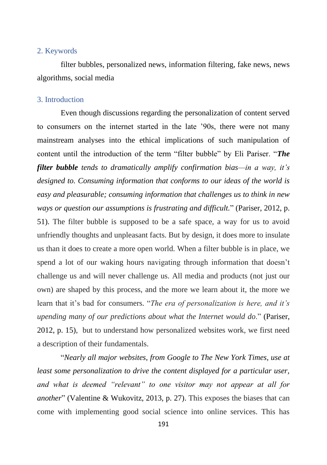#### 2. Keywords

filter bubbles, personalized news, information filtering, fake news, news algorithms, social media

### 3. Introduction

Even though discussions regarding the personalization of content served to consumers on the internet started in the late '90s, there were not many mainstream analyses into the ethical implications of such manipulation of content until the introduction of the term "filter bubble" by Eli Pariser. "*The filter bubble tends to dramatically amplify confirmation bias—in a way, it's designed to. Consuming information that conforms to our ideas of the world is easy and pleasurable; consuming information that challenges us to think in new ways or question our assumptions is frustrating and difficult.*" (Pariser, 2012, p. 51). The filter bubble is supposed to be a safe space, a way for us to avoid unfriendly thoughts and unpleasant facts. But by design, it does more to insulate us than it does to create a more open world. When a filter bubble is in place, we spend a lot of our waking hours navigating through information that doesn't challenge us and will never challenge us. All media and products (not just our own) are shaped by this process, and the more we learn about it, the more we learn that it's bad for consumers. "*The era of personalization is here, and it's upending many of our predictions about what the Internet would do*." (Pariser, 2012, p. 15), but to understand how personalized websites work, we first need a description of their fundamentals.

"*Nearly all major websites, from Google to The New York Times, use at least some personalization to drive the content displayed for a particular user, and what is deemed "relevant" to one visitor may not appear at all for another*" (Valentine & Wukovitz, 2013, p. 27). This exposes the biases that can come with implementing good social science into online services. This has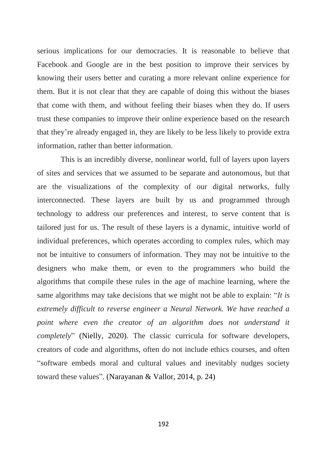serious implications for our democracies. It is reasonable to believe that Facebook and Google are in the best position to improve their services by knowing their users better and curating a more relevant online experience for them. But it is not clear that they are capable of doing this without the biases that come with them, and without feeling their biases when they do. If users trust these companies to improve their online experience based on the research that they're already engaged in, they are likely to be less likely to provide extra information, rather than better information.

This is an incredibly diverse, nonlinear world, full of layers upon layers of sites and services that we assumed to be separate and autonomous, but that are the visualizations of the complexity of our digital networks, fully interconnected. These layers are built by us and programmed through technology to address our preferences and interest, to serve content that is tailored just for us. The result of these layers is a dynamic, intuitive world of individual preferences, which operates according to complex rules, which may not be intuitive to consumers of information. They may not be intuitive to the designers who make them, or even to the programmers who build the algorithms that compile these rules in the age of machine learning, where the same algorithms may take decisions that we might not be able to explain: "*It is extremely difficult to reverse engineer a Neural Network. We have reached a point where even the creator of an algorithm does not understand it completely*" (Nielly, 2020). The classic curricula for software developers, creators of code and algorithms, often do not include ethics courses, and often "software embeds moral and cultural values and inevitably nudges society toward these values". (Narayanan & Vallor, 2014, p. 24)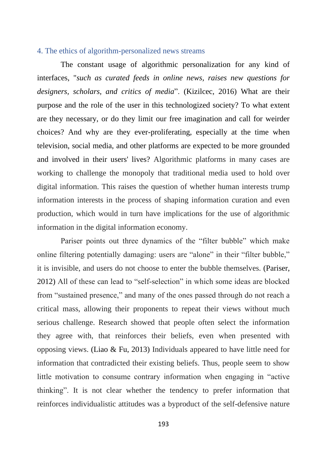### 4. The ethics of algorithm-personalized news streams

The constant usage of algorithmic personalization for any kind of interfaces, "*such as curated feeds in online news, raises new questions for designers, scholars, and critics of media*". (Kizilcec, 2016) What are their purpose and the role of the user in this technologized society? To what extent are they necessary, or do they limit our free imagination and call for weirder choices? And why are they ever-proliferating, especially at the time when television, social media, and other platforms are expected to be more grounded and involved in their users' lives? Algorithmic platforms in many cases are working to challenge the monopoly that traditional media used to hold over digital information. This raises the question of whether human interests trump information interests in the process of shaping information curation and even production, which would in turn have implications for the use of algorithmic information in the digital information economy.

Pariser points out three dynamics of the "filter bubble" which make online filtering potentially damaging: users are "alone" in their "filter bubble," it is invisible, and users do not choose to enter the bubble themselves. (Pariser, 2012) All of these can lead to "self-selection" in which some ideas are blocked from "sustained presence," and many of the ones passed through do not reach a critical mass, allowing their proponents to repeat their views without much serious challenge. Research showed that people often select the information they agree with, that reinforces their beliefs, even when presented with opposing views. (Liao & Fu, 2013) Individuals appeared to have little need for information that contradicted their existing beliefs. Thus, people seem to show little motivation to consume contrary information when engaging in "active thinking". It is not clear whether the tendency to prefer information that reinforces individualistic attitudes was a byproduct of the self-defensive nature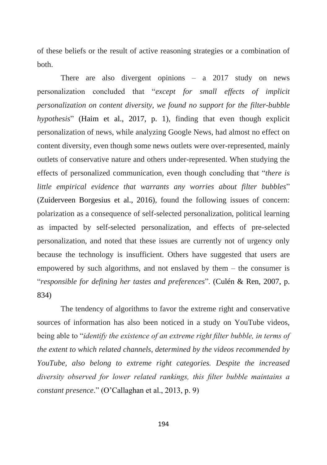of these beliefs or the result of active reasoning strategies or a combination of both.

There are also divergent opinions – a 2017 study on news personalization concluded that "*except for small effects of implicit personalization on content diversity, we found no support for the filter-bubble hypothesis*" (Haim et al., 2017, p. 1), finding that even though explicit personalization of news, while analyzing Google News, had almost no effect on content diversity, even though some news outlets were over-represented, mainly outlets of conservative nature and others under-represented. When studying the effects of personalized communication, even though concluding that "*there is little empirical evidence that warrants any worries about filter bubbles*" (Zuiderveen Borgesius et al., 2016), found the following issues of concern: polarization as a consequence of self-selected personalization, political learning as impacted by self-selected personalization, and effects of pre-selected personalization, and noted that these issues are currently not of urgency only because the technology is insufficient. Others have suggested that users are empowered by such algorithms, and not enslaved by them – the consumer is "*responsible for defining her tastes and preferences*". (Culén & Ren, 2007, p. 834)

The tendency of algorithms to favor the extreme right and conservative sources of information has also been noticed in a study on YouTube videos, being able to "*identify the existence of an extreme right filter bubble, in terms of the extent to which related channels, determined by the videos recommended by YouTube, also belong to extreme right categories. Despite the increased diversity observed for lower related rankings, this filter bubble maintains a constant presence*." (O'Callaghan et al., 2013, p. 9)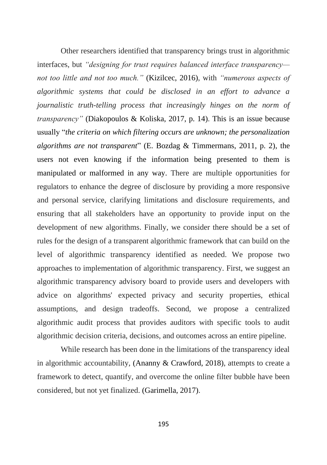Other researchers identified that transparency brings trust in algorithmic interfaces, but *"designing for trust requires balanced interface transparency not too little and not too much."* (Kizilcec, 2016), with *"numerous aspects of algorithmic systems that could be disclosed in an effort to advance a journalistic truth-telling process that increasingly hinges on the norm of transparency"* (Diakopoulos & Koliska, 2017, p. 14). This is an issue because usually "*the criteria on which filtering occurs are unknown; the personalization algorithms are not transparent*" (E. Bozdag & Timmermans, 2011, p. 2), the users not even knowing if the information being presented to them is manipulated or malformed in any way. There are multiple opportunities for regulators to enhance the degree of disclosure by providing a more responsive and personal service, clarifying limitations and disclosure requirements, and ensuring that all stakeholders have an opportunity to provide input on the development of new algorithms. Finally, we consider there should be a set of rules for the design of a transparent algorithmic framework that can build on the level of algorithmic transparency identified as needed. We propose two approaches to implementation of algorithmic transparency. First, we suggest an algorithmic transparency advisory board to provide users and developers with advice on algorithms' expected privacy and security properties, ethical assumptions, and design tradeoffs. Second, we propose a centralized algorithmic audit process that provides auditors with specific tools to audit algorithmic decision criteria, decisions, and outcomes across an entire pipeline.

While research has been done in the limitations of the transparency ideal in algorithmic accountability, (Ananny & Crawford, 2018), attempts to create a framework to detect, quantify, and overcome the online filter bubble have been considered, but not yet finalized. (Garimella, 2017).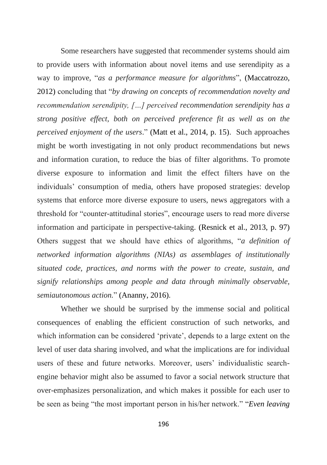Some researchers have suggested that recommender systems should aim to provide users with information about novel items and use serendipity as a way to improve, "*as a performance measure for algorithms*", (Maccatrozzo, 2012) concluding that "*by drawing on concepts of recommendation novelty and recommendation serendipity, […] perceived recommendation serendipity has a strong positive effect, both on perceived preference fit as well as on the perceived enjoyment of the users*." (Matt et al., 2014, p. 15). Such approaches might be worth investigating in not only product recommendations but news and information curation, to reduce the bias of filter algorithms. To promote diverse exposure to information and limit the effect filters have on the individuals' consumption of media, others have proposed strategies: develop systems that enforce more diverse exposure to users, news aggregators with a threshold for "counter-attitudinal stories", encourage users to read more diverse information and participate in perspective-taking. (Resnick et al., 2013, p. 97) Others suggest that we should have ethics of algorithms, "*a definition of networked information algorithms (NIAs) as assemblages of institutionally situated code, practices, and norms with the power to create, sustain, and signify relationships among people and data through minimally observable, semiautonomous action.*" (Ananny, 2016).

Whether we should be surprised by the immense social and political consequences of enabling the efficient construction of such networks, and which information can be considered 'private', depends to a large extent on the level of user data sharing involved, and what the implications are for individual users of these and future networks. Moreover, users' individualistic searchengine behavior might also be assumed to favor a social network structure that over-emphasizes personalization, and which makes it possible for each user to be seen as being "the most important person in his/her network." "*Even leaving*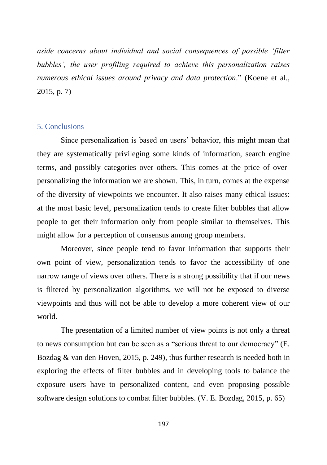*aside concerns about individual and social consequences of possible 'filter bubbles', the user profiling required to achieve this personalization raises numerous ethical issues around privacy and data protection*." (Koene et al., 2015, p. 7)

## 5. Conclusions

Since personalization is based on users' behavior, this might mean that they are systematically privileging some kinds of information, search engine terms, and possibly categories over others. This comes at the price of overpersonalizing the information we are shown. This, in turn, comes at the expense of the diversity of viewpoints we encounter. It also raises many ethical issues: at the most basic level, personalization tends to create filter bubbles that allow people to get their information only from people similar to themselves. This might allow for a perception of consensus among group members.

Moreover, since people tend to favor information that supports their own point of view, personalization tends to favor the accessibility of one narrow range of views over others. There is a strong possibility that if our news is filtered by personalization algorithms, we will not be exposed to diverse viewpoints and thus will not be able to develop a more coherent view of our world.

The presentation of a limited number of view points is not only a threat to news consumption but can be seen as a "serious threat to our democracy" (E. Bozdag & van den Hoven, 2015, p. 249), thus further research is needed both in exploring the effects of filter bubbles and in developing tools to balance the exposure users have to personalized content, and even proposing possible software design solutions to combat filter bubbles. (V. E. Bozdag, 2015, p. 65)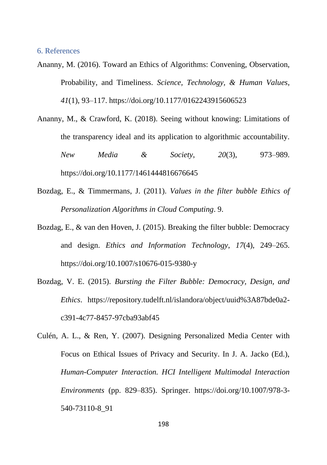#### 6. References

- Ananny, M. (2016). Toward an Ethics of Algorithms: Convening, Observation, Probability, and Timeliness. *Science, Technology, & Human Values*, *41*(1), 93–117. https://doi.org/10.1177/0162243915606523
- Ananny, M., & Crawford, K. (2018). Seeing without knowing: Limitations of the transparency ideal and its application to algorithmic accountability. *New Media & Society*, *20*(3), 973–989. https://doi.org/10.1177/1461444816676645
- Bozdag, E., & Timmermans, J. (2011). *Values in the filter bubble Ethics of Personalization Algorithms in Cloud Computing*. 9.
- Bozdag, E., & van den Hoven, J. (2015). Breaking the filter bubble: Democracy and design. *Ethics and Information Technology*, *17*(4), 249–265. https://doi.org/10.1007/s10676-015-9380-y
- Bozdag, V. E. (2015). *Bursting the Filter Bubble: Democracy, Design, and Ethics*. https://repository.tudelft.nl/islandora/object/uuid%3A87bde0a2 c391-4c77-8457-97cba93abf45
- Culén, A. L., & Ren, Y. (2007). Designing Personalized Media Center with Focus on Ethical Issues of Privacy and Security. In J. A. Jacko (Ed.), *Human-Computer Interaction. HCI Intelligent Multimodal Interaction Environments* (pp. 829–835). Springer. https://doi.org/10.1007/978-3- 540-73110-8\_91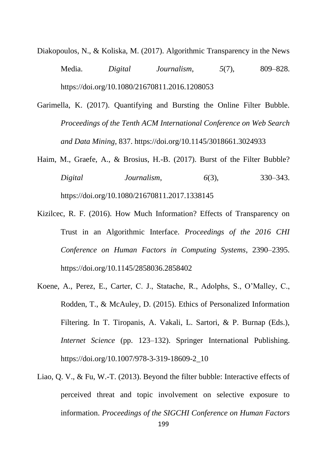- Diakopoulos, N., & Koliska, M. (2017). Algorithmic Transparency in the News Media. *Digital Journalism*, *5*(7), 809–828. https://doi.org/10.1080/21670811.2016.1208053
- Garimella, K. (2017). Quantifying and Bursting the Online Filter Bubble. *Proceedings of the Tenth ACM International Conference on Web Search and Data Mining*, 837. https://doi.org/10.1145/3018661.3024933
- Haim, M., Graefe, A., & Brosius, H.-B. (2017). Burst of the Filter Bubble? *Digital Journalism*, *6*(3), 330–343. https://doi.org/10.1080/21670811.2017.1338145
- Kizilcec, R. F. (2016). How Much Information? Effects of Transparency on Trust in an Algorithmic Interface. *Proceedings of the 2016 CHI Conference on Human Factors in Computing Systems*, 2390–2395. https://doi.org/10.1145/2858036.2858402
- Koene, A., Perez, E., Carter, C. J., Statache, R., Adolphs, S., O'Malley, C., Rodden, T., & McAuley, D. (2015). Ethics of Personalized Information Filtering. In T. Tiropanis, A. Vakali, L. Sartori, & P. Burnap (Eds.), *Internet Science* (pp. 123–132). Springer International Publishing. https://doi.org/10.1007/978-3-319-18609-2\_10
- Liao, Q. V., & Fu, W.-T. (2013). Beyond the filter bubble: Interactive effects of perceived threat and topic involvement on selective exposure to information. *Proceedings of the SIGCHI Conference on Human Factors*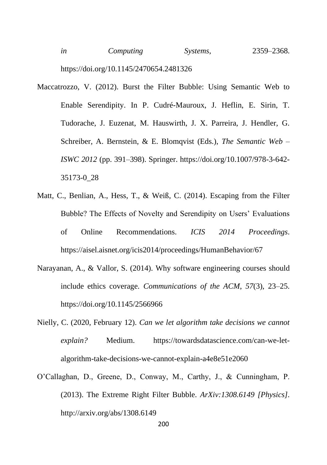- Maccatrozzo, V. (2012). Burst the Filter Bubble: Using Semantic Web to Enable Serendipity. In P. Cudré-Mauroux, J. Heflin, E. Sirin, T. Tudorache, J. Euzenat, M. Hauswirth, J. X. Parreira, J. Hendler, G. Schreiber, A. Bernstein, & E. Blomqvist (Eds.), *The Semantic Web – ISWC 2012* (pp. 391–398). Springer. https://doi.org/10.1007/978-3-642- 35173-0\_28
- Matt, C., Benlian, A., Hess, T., & Weiß, C. (2014). Escaping from the Filter Bubble? The Effects of Novelty and Serendipity on Users' Evaluations of Online Recommendations. *ICIS 2014 Proceedings*. https://aisel.aisnet.org/icis2014/proceedings/HumanBehavior/67
- Narayanan, A., & Vallor, S. (2014). Why software engineering courses should include ethics coverage. *Communications of the ACM*, *57*(3), 23–25. https://doi.org/10.1145/2566966
- Nielly, C. (2020, February 12). *Can we let algorithm take decisions we cannot explain?* Medium. https://towardsdatascience.com/can-we-letalgorithm-take-decisions-we-cannot-explain-a4e8e51e2060
- O'Callaghan, D., Greene, D., Conway, M., Carthy, J., & Cunningham, P. (2013). The Extreme Right Filter Bubble. *ArXiv:1308.6149 [Physics]*. http://arxiv.org/abs/1308.6149